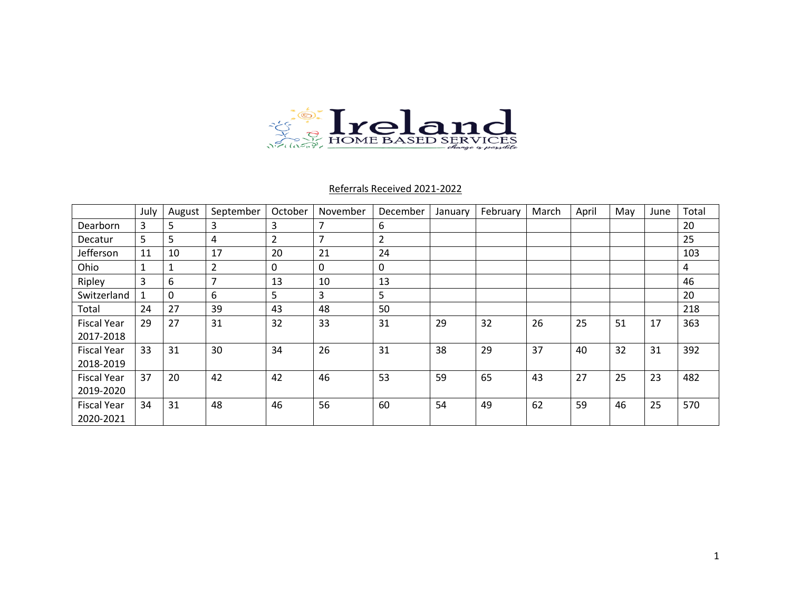

### Referrals Received 2021-2022

|                    | July | August | September      | October        | November       | December       | January | February | March | April | May | June | Total |
|--------------------|------|--------|----------------|----------------|----------------|----------------|---------|----------|-------|-------|-----|------|-------|
| <b>Dearborn</b>    | 3    | 5      | 3              | 3              | $\overline{7}$ | 6              |         |          |       |       |     |      | 20    |
| Decatur            | 5    | 5      | 4              | $\overline{2}$ | $\overline{7}$ | $\overline{2}$ |         |          |       |       |     |      | 25    |
| Jefferson          | 11   | 10     | 17             | 20             | 21             | 24             |         |          |       |       |     |      | 103   |
| Ohio               |      | 1      | $\overline{2}$ | $\Omega$       | 0              | 0              |         |          |       |       |     |      | 4     |
| Ripley             | 3    | 6      | 7              | 13             | 10             | 13             |         |          |       |       |     |      | 46    |
| Switzerland        |      | 0      | 6              | 5              | 3              | 5              |         |          |       |       |     |      | 20    |
| Total              | 24   | 27     | 39             | 43             | 48             | 50             |         |          |       |       |     |      | 218   |
| <b>Fiscal Year</b> | 29   | 27     | 31             | 32             | 33             | 31             | 29      | 32       | 26    | 25    | 51  | 17   | 363   |
| 2017-2018          |      |        |                |                |                |                |         |          |       |       |     |      |       |
| <b>Fiscal Year</b> | 33   | 31     | 30             | 34             | 26             | 31             | 38      | 29       | 37    | 40    | 32  | 31   | 392   |
| 2018-2019          |      |        |                |                |                |                |         |          |       |       |     |      |       |
| <b>Fiscal Year</b> | 37   | 20     | 42             | 42             | 46             | 53             | 59      | 65       | 43    | 27    | 25  | 23   | 482   |
| 2019-2020          |      |        |                |                |                |                |         |          |       |       |     |      |       |
| <b>Fiscal Year</b> | 34   | 31     | 48             | 46             | 56             | 60             | 54      | 49       | 62    | 59    | 46  | 25   | 570   |
| 2020-2021          |      |        |                |                |                |                |         |          |       |       |     |      |       |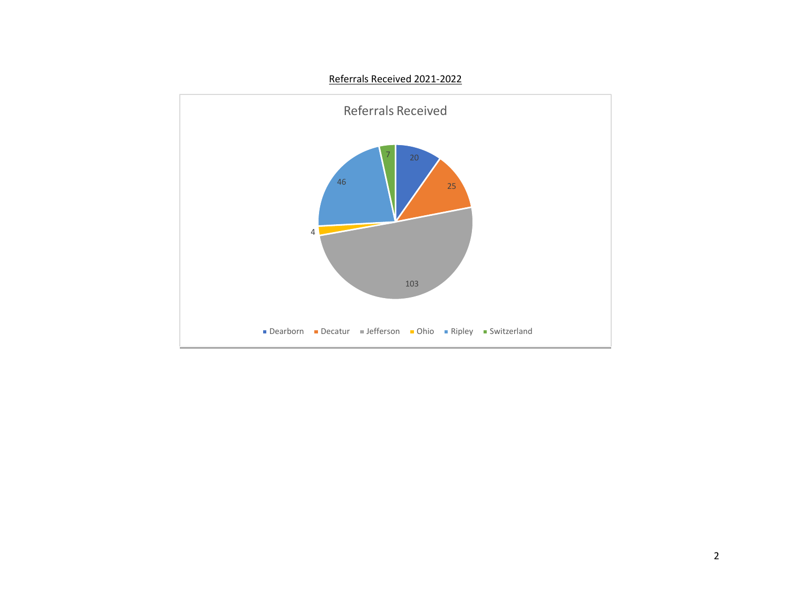#### Referrals Received 2021-2022

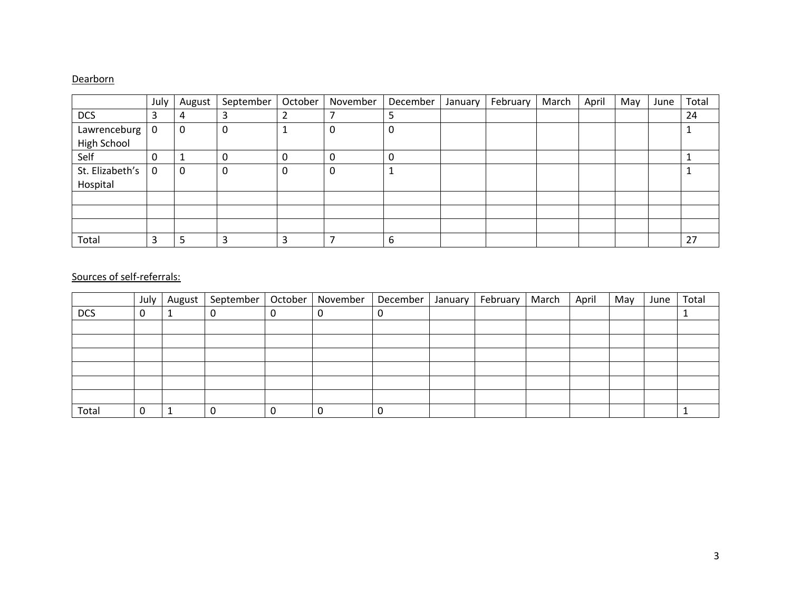### **Dearborn**

|                 | July        | August      | September | October | November | December | January | February | March | April | May | June | Total |
|-----------------|-------------|-------------|-----------|---------|----------|----------|---------|----------|-------|-------|-----|------|-------|
| <b>DCS</b>      | 3           | 4           |           | ∠       |          |          |         |          |       |       |     |      | 24    |
| Lawrenceburg    | $\mathbf 0$ | $\mathbf 0$ | 0         |         | 0        | υ        |         |          |       |       |     |      |       |
| High School     |             |             |           |         |          |          |         |          |       |       |     |      |       |
| Self            | 0           |             | 0         | 0       | 0        |          |         |          |       |       |     |      |       |
| St. Elizabeth's | 0           | $\mathbf 0$ | 0         | 0       | 0        |          |         |          |       |       |     |      |       |
| Hospital        |             |             |           |         |          |          |         |          |       |       |     |      |       |
|                 |             |             |           |         |          |          |         |          |       |       |     |      |       |
|                 |             |             |           |         |          |          |         |          |       |       |     |      |       |
|                 |             |             |           |         |          |          |         |          |       |       |     |      |       |
| Total           |             | -5          | З         | 3       |          | 6        |         |          |       |       |     |      | 27    |

|            | July | August | September | October   November | December | January | February | March | April | May | June | Total |
|------------|------|--------|-----------|--------------------|----------|---------|----------|-------|-------|-----|------|-------|
| <b>DCS</b> | 0    |        | 0         | 0                  |          |         |          |       |       |     |      |       |
|            |      |        |           |                    |          |         |          |       |       |     |      |       |
|            |      |        |           |                    |          |         |          |       |       |     |      |       |
|            |      |        |           |                    |          |         |          |       |       |     |      |       |
|            |      |        |           |                    |          |         |          |       |       |     |      |       |
|            |      |        |           |                    |          |         |          |       |       |     |      |       |
|            |      |        |           |                    |          |         |          |       |       |     |      |       |
| Total      | 0    |        | 0         | 0                  |          |         |          |       |       |     |      |       |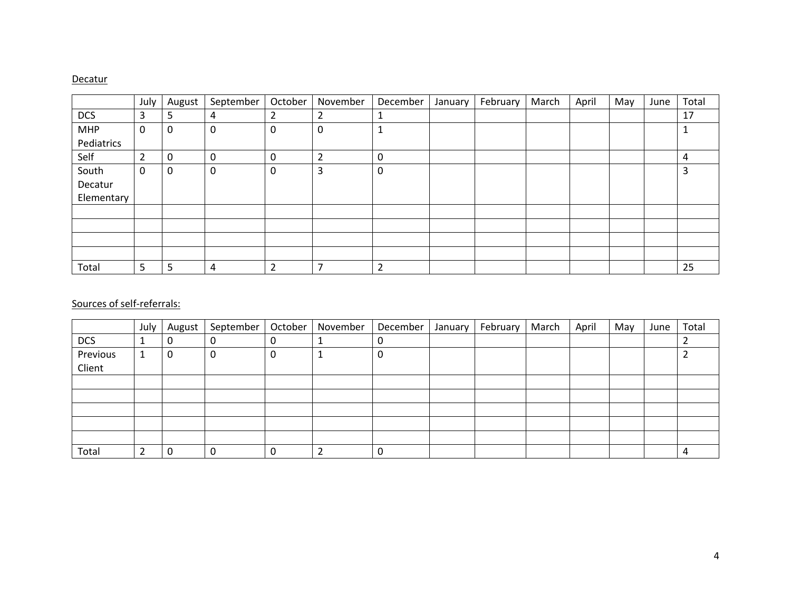#### **Decatur**

|            | July           | August      | September   | October | November       | December       | January | February | March | April | May | June | Total |
|------------|----------------|-------------|-------------|---------|----------------|----------------|---------|----------|-------|-------|-----|------|-------|
| <b>DCS</b> | 3              | 5           | 4           | ำ       | 2              | J.             |         |          |       |       |     |      | 17    |
| <b>MHP</b> | 0              | 0           | $\mathbf 0$ | 0       | 0              | 1<br>щ         |         |          |       |       |     |      | 1     |
| Pediatrics |                |             |             |         |                |                |         |          |       |       |     |      |       |
| Self       | $\overline{2}$ | $\mathbf 0$ | 0           | 0       | $\overline{2}$ | 0              |         |          |       |       |     |      | 4     |
| South      | 0              | 0           | $\mathbf 0$ | 0       | 3              | 0              |         |          |       |       |     |      | 3     |
| Decatur    |                |             |             |         |                |                |         |          |       |       |     |      |       |
| Elementary |                |             |             |         |                |                |         |          |       |       |     |      |       |
|            |                |             |             |         |                |                |         |          |       |       |     |      |       |
|            |                |             |             |         |                |                |         |          |       |       |     |      |       |
|            |                |             |             |         |                |                |         |          |       |       |     |      |       |
|            |                |             |             |         |                |                |         |          |       |       |     |      |       |
| Total      | 5              | 5           | 4           | ำ       | ⇁              | $\overline{2}$ |         |          |       |       |     |      | 25    |

|            | July          | August | September | October | November | December | January | February | March | April | May | June | Total |
|------------|---------------|--------|-----------|---------|----------|----------|---------|----------|-------|-------|-----|------|-------|
| <b>DCS</b> |               |        | υ         | υ       |          | 0        |         |          |       |       |     |      |       |
| Previous   |               | 0      | 0         | U       |          | 0        |         |          |       |       |     |      |       |
| Client     |               |        |           |         |          |          |         |          |       |       |     |      |       |
|            |               |        |           |         |          |          |         |          |       |       |     |      |       |
|            |               |        |           |         |          |          |         |          |       |       |     |      |       |
|            |               |        |           |         |          |          |         |          |       |       |     |      |       |
|            |               |        |           |         |          |          |         |          |       |       |     |      |       |
|            |               |        |           |         |          |          |         |          |       |       |     |      |       |
| Total      | ำ<br><u>L</u> | υ      |           | υ       |          |          |         |          |       |       |     |      | 4     |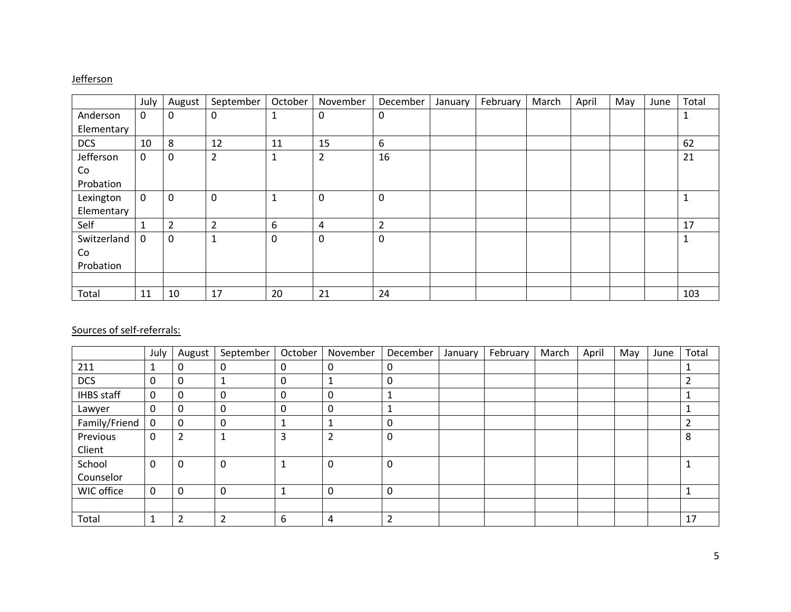### **Jefferson**

|             | July        | August         | September      | October | November       | December    | January | February | March | April | May | June | Total |
|-------------|-------------|----------------|----------------|---------|----------------|-------------|---------|----------|-------|-------|-----|------|-------|
| Anderson    | 0           | 0              | 0              | 1       | 0              | $\mathbf 0$ |         |          |       |       |     |      | T.    |
| Elementary  |             |                |                |         |                |             |         |          |       |       |     |      |       |
| <b>DCS</b>  | 10          | 8              | 12             | 11      | 15             | 6           |         |          |       |       |     |      | 62    |
| Jefferson   | $\mathbf 0$ | 0              | $\overline{2}$ | 1       | $\overline{2}$ | 16          |         |          |       |       |     |      | 21    |
| Co          |             |                |                |         |                |             |         |          |       |       |     |      |       |
| Probation   |             |                |                |         |                |             |         |          |       |       |     |      |       |
| Lexington   | $\mathbf 0$ | 0              | 0              | 1       | $\mathbf 0$    | $\mathbf 0$ |         |          |       |       |     |      | T     |
| Elementary  |             |                |                |         |                |             |         |          |       |       |     |      |       |
| Self        | 1           | $\overline{2}$ | $\overline{2}$ | 6       | 4              | 2           |         |          |       |       |     |      | 17    |
| Switzerland | 0           | 0              | $\mathbf 1$    | 0       | 0              | 0           |         |          |       |       |     |      |       |
| Co          |             |                |                |         |                |             |         |          |       |       |     |      |       |
| Probation   |             |                |                |         |                |             |         |          |       |       |     |      |       |
|             |             |                |                |         |                |             |         |          |       |       |     |      |       |
| Total       | 11          | 10             | 17             | 20      | 21             | 24          |         |          |       |       |     |      | 103   |

|                   | July        | August         | September | October | November       | December | January | February | March | April | May | June | Total |
|-------------------|-------------|----------------|-----------|---------|----------------|----------|---------|----------|-------|-------|-----|------|-------|
| 211               | щ           | 0              | 0         | 0       | 0              | 0        |         |          |       |       |     |      |       |
| <b>DCS</b>        | $\mathbf 0$ | 0              |           | 0       | $\mathbf{1}$   | 0        |         |          |       |       |     |      |       |
| <b>IHBS</b> staff | 0           | 0              | 0         | 0       | $\Omega$       |          |         |          |       |       |     |      |       |
| Lawyer            | 0           | 0              | 0         | 0       | $\mathbf 0$    |          |         |          |       |       |     |      |       |
| Family/Friend     | 0           | $\mathbf 0$    | 0         |         | 1              | 0        |         |          |       |       |     |      |       |
| Previous          | 0           | $\overline{2}$ | ш         | 3       | $\overline{2}$ | 0        |         |          |       |       |     |      | 8     |
| Client            |             |                |           |         |                |          |         |          |       |       |     |      |       |
| School            | 0           | 0              | 0         | 1       | 0              | 0        |         |          |       |       |     |      |       |
| Counselor         |             |                |           |         |                |          |         |          |       |       |     |      |       |
| WIC office        | $\Omega$    | 0              | 0         |         | $\mathbf 0$    | 0        |         |          |       |       |     |      |       |
|                   |             |                |           |         |                |          |         |          |       |       |     |      |       |
| Total             |             | $\overline{2}$ | 2         | 6       | 4              | ำ        |         |          |       |       |     |      | 17    |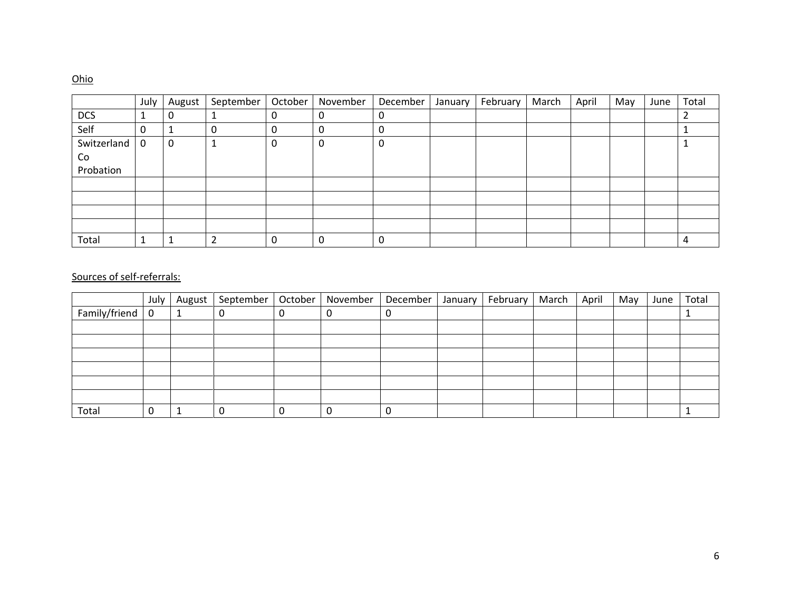## Ohio

|             | July        | August | September | October | November | December | January | February | March | April | May | June | Total |
|-------------|-------------|--------|-----------|---------|----------|----------|---------|----------|-------|-------|-----|------|-------|
| <b>DCS</b>  | 1           | 0      |           |         | л.       | υ        |         |          |       |       |     |      |       |
| Self        | 0           |        | 0         |         | 0        | U        |         |          |       |       |     |      |       |
| Switzerland | $\mathbf 0$ | 0      |           | 0       | 0        | 0        |         |          |       |       |     |      |       |
| Co          |             |        |           |         |          |          |         |          |       |       |     |      |       |
| Probation   |             |        |           |         |          |          |         |          |       |       |     |      |       |
|             |             |        |           |         |          |          |         |          |       |       |     |      |       |
|             |             |        |           |         |          |          |         |          |       |       |     |      |       |
|             |             |        |           |         |          |          |         |          |       |       |     |      |       |
|             |             |        |           |         |          |          |         |          |       |       |     |      |       |
| Total       | 1           |        | ົ         | 0       | 0        | 0        |         |          |       |       |     |      | 4     |

|               | July | August | September   October |   | November | December <sup>1</sup> | January | February | March | April | May | June | Total |
|---------------|------|--------|---------------------|---|----------|-----------------------|---------|----------|-------|-------|-----|------|-------|
| Family/friend | 0    |        |                     | 0 |          | 0                     |         |          |       |       |     |      |       |
|               |      |        |                     |   |          |                       |         |          |       |       |     |      |       |
|               |      |        |                     |   |          |                       |         |          |       |       |     |      |       |
|               |      |        |                     |   |          |                       |         |          |       |       |     |      |       |
|               |      |        |                     |   |          |                       |         |          |       |       |     |      |       |
|               |      |        |                     |   |          |                       |         |          |       |       |     |      |       |
|               |      |        |                     |   |          |                       |         |          |       |       |     |      |       |
| Total         |      |        |                     | 0 |          | 0                     |         |          |       |       |     |      |       |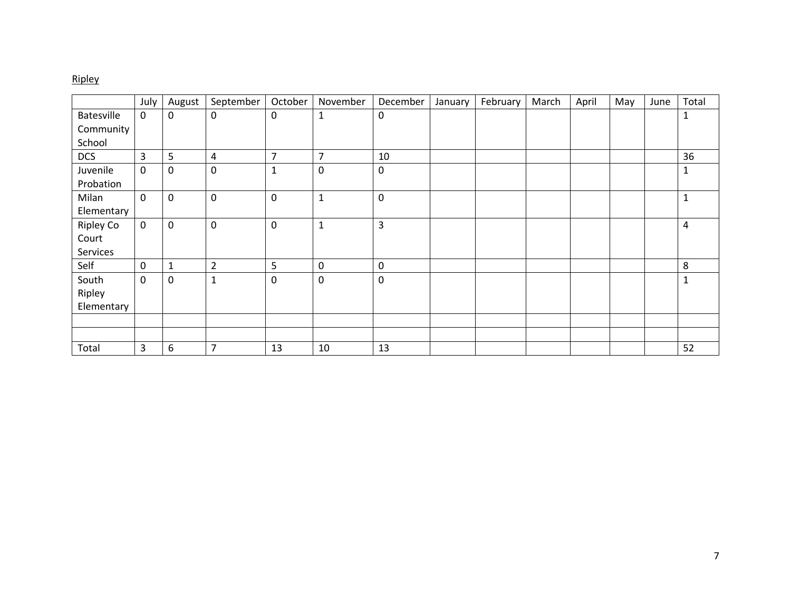# Ripley

|                   | July        | August       | September        | October        | November       | December     | January | February | March | April | May | June | Total        |
|-------------------|-------------|--------------|------------------|----------------|----------------|--------------|---------|----------|-------|-------|-----|------|--------------|
| <b>Batesville</b> | 0           | $\mathbf 0$  | $\boldsymbol{0}$ | $\mathsf 0$    | $\mathbf{1}$   | $\mathbf 0$  |         |          |       |       |     |      | 1            |
| Community         |             |              |                  |                |                |              |         |          |       |       |     |      |              |
| School            |             |              |                  |                |                |              |         |          |       |       |     |      |              |
| <b>DCS</b>        | 3           | 5            | 4                | $\overline{7}$ | $\overline{7}$ | 10           |         |          |       |       |     |      | 36           |
| Juvenile          | 0           | $\mathbf 0$  | $\mathbf 0$      | $\mathbf 1$    | $\mathbf 0$    | $\mathbf 0$  |         |          |       |       |     |      | 1            |
| Probation         |             |              |                  |                |                |              |         |          |       |       |     |      |              |
| Milan             | 0           | $\mathbf 0$  | $\mathbf 0$      | $\pmb{0}$      | $\mathbf{1}$   | $\pmb{0}$    |         |          |       |       |     |      | $\mathbf{1}$ |
| Elementary        |             |              |                  |                |                |              |         |          |       |       |     |      |              |
| Ripley Co         | $\mathbf 0$ | $\mathsf 0$  | $\mathbf 0$      | $\pmb{0}$      | $\mathbf{1}$   | $\mathsf{3}$ |         |          |       |       |     |      | 4            |
| Court             |             |              |                  |                |                |              |         |          |       |       |     |      |              |
| Services          |             |              |                  |                |                |              |         |          |       |       |     |      |              |
| Self              | 0           | $\mathbf{1}$ | $\overline{2}$   | 5              | $\mathbf 0$    | $\mathbf 0$  |         |          |       |       |     |      | 8            |
| South             | 0           | $\mathbf 0$  | $\mathbf{1}$     | $\mathbf 0$    | $\mathbf 0$    | $\pmb{0}$    |         |          |       |       |     |      | $\mathbf 1$  |
| Ripley            |             |              |                  |                |                |              |         |          |       |       |     |      |              |
| Elementary        |             |              |                  |                |                |              |         |          |       |       |     |      |              |
|                   |             |              |                  |                |                |              |         |          |       |       |     |      |              |
|                   |             |              |                  |                |                |              |         |          |       |       |     |      |              |
| Total             | 3           | 6            | 7                | 13             | 10             | 13           |         |          |       |       |     |      | 52           |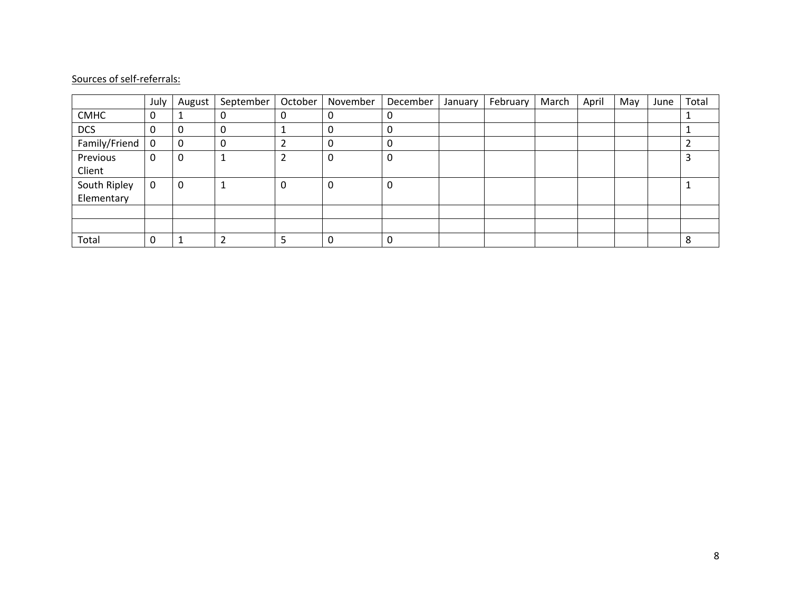|               | July | August | September | October | November | December | January | February | March | April | May | June | Total |
|---------------|------|--------|-----------|---------|----------|----------|---------|----------|-------|-------|-----|------|-------|
| <b>CMHC</b>   | 0    |        |           | 0       |          | 0        |         |          |       |       |     |      |       |
| <b>DCS</b>    | 0    | 0      | 0         |         |          | 0        |         |          |       |       |     |      |       |
| Family/Friend | 0    | 0      | 0         |         |          | 0        |         |          |       |       |     |      |       |
| Previous      | 0    | 0      | л         | 2       | 0        | 0        |         |          |       |       |     |      |       |
| Client        |      |        |           |         |          |          |         |          |       |       |     |      |       |
| South Ripley  | 0    | 0      |           | 0       | 0        | 0        |         |          |       |       |     |      |       |
| Elementary    |      |        |           |         |          |          |         |          |       |       |     |      |       |
|               |      |        |           |         |          |          |         |          |       |       |     |      |       |
|               |      |        |           |         |          |          |         |          |       |       |     |      |       |
| Total         | 0    |        |           |         |          | 0        |         |          |       |       |     |      | 8     |